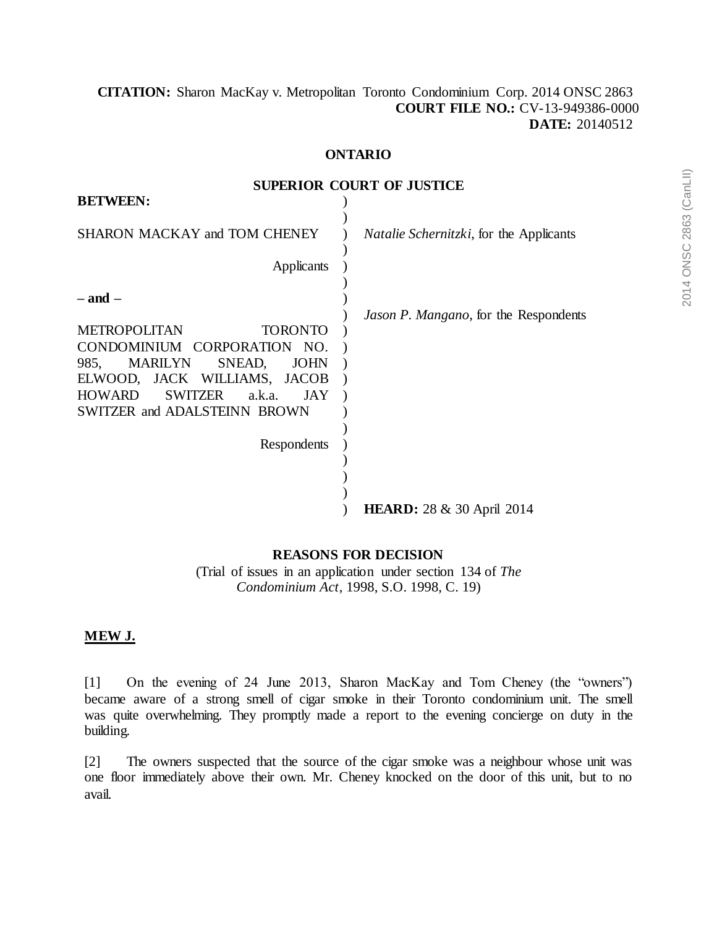# **[CITATION:](http://intra.judicialsecurity.jus.gov.on.ca/NeutralCitation/)** Sharon MacKay v. Metropolitan Toronto Condominium Corp. 2014 ONSC 2863 **COURT FILE NO.:** CV-13-949386-0000 **DATE:** 20140512

## **ONTARIO**

**SUPERIOR COURT OF JUSTICE**

| <b>BETWEEN:</b>                                                                                                                                                                                                                                                                  |                                                 |
|----------------------------------------------------------------------------------------------------------------------------------------------------------------------------------------------------------------------------------------------------------------------------------|-------------------------------------------------|
| SHARON MACKAY and TOM CHENEY                                                                                                                                                                                                                                                     | <i>Natalie Schernitzki</i> , for the Applicants |
| Applicants                                                                                                                                                                                                                                                                       |                                                 |
| $-$ and $-$<br><b>METROPOLITAN</b><br><b>TORONTO</b><br>CONDOMINIUM CORPORATION NO.<br><b>MARILYN</b><br>SNEAD,<br><b>JOHN</b><br>985,<br>ELWOOD, JACK WILLIAMS, JACOB<br><b>HOWARD</b><br><b>SWITZER</b><br>a.k.a.<br>JAY<br><b>SWITZER and ADALSTEINN BROWN</b><br>Respondents | Jason P. Mangano, for the Respondents           |
|                                                                                                                                                                                                                                                                                  | <b>HEARD:</b> 28 & 30 April 2014                |

#### **REASONS FOR DECISION**

(Trial of issues in an application under section 134 of *The Condominium Act*, 1998, S.O. 1998, C. 19)

# **MEW J.**

[1] On the evening of 24 June 2013, Sharon MacKay and Tom Cheney (the "owners") became aware of a strong smell of cigar smoke in their Toronto condominium unit. The smell was quite overwhelming. They promptly made a report to the evening concierge on duty in the building.

[2] The owners suspected that the source of the cigar smoke was a neighbour whose unit was one floor immediately above their own. Mr. Cheney knocked on the door of this unit, but to no avail.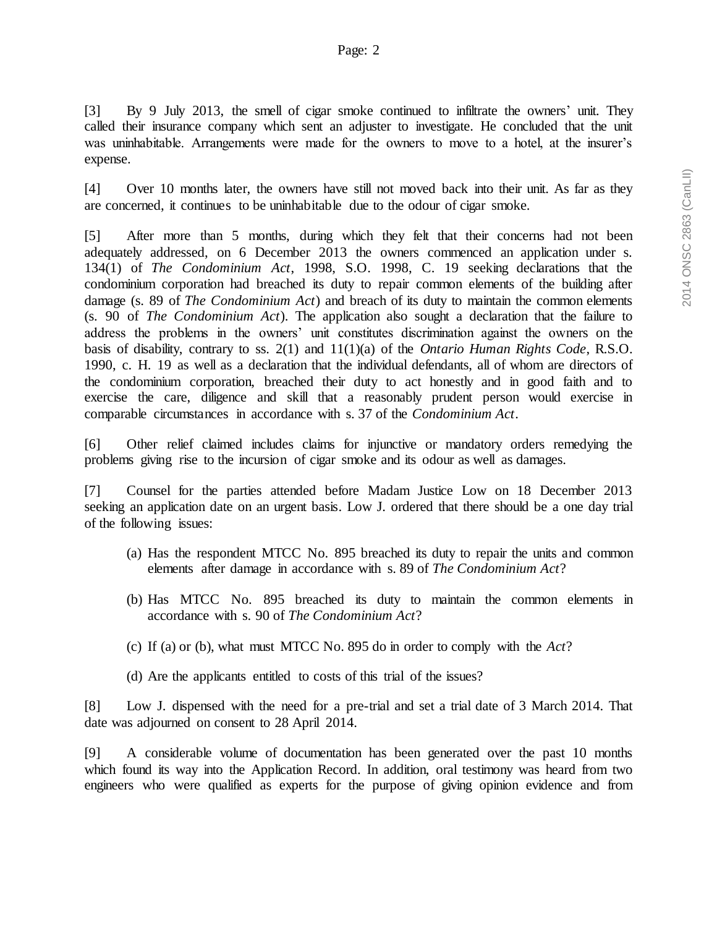[3] By 9 July 2013, the smell of cigar smoke continued to infiltrate the owners' unit. They called their insurance company which sent an adjuster to investigate. He concluded that the unit was uninhabitable. Arrangements were made for the owners to move to a hotel, at the insurer's expense.

[4] Over 10 months later, the owners have still not moved back into their unit. As far as they are concerned, it continues to be uninhabitable due to the odour of cigar smoke.

[5] After more than 5 months, during which they felt that their concerns had not been adequately addressed, on 6 December 2013 the owners commenced an application under s. 134(1) of *The Condominium Act*, 1998, S.O. 1998, C. 19 seeking declarations that the condominium corporation had breached its duty to repair common elements of the building after damage (s. 89 of *The Condominium Act*) and breach of its duty to maintain the common elements (s. 90 of *The Condominium Act*). The application also sought a declaration that the failure to address the problems in the owners' unit constitutes discrimination against the owners on the basis of disability, contrary to ss. 2(1) and 11(1)(a) of the *Ontario Human Rights Code*, R.S.O. 1990, c. H. 19 as well as a declaration that the individual defendants, all of whom are directors of the condominium corporation, breached their duty to act honestly and in good faith and to exercise the care, diligence and skill that a reasonably prudent person would exercise in comparable circumstances in accordance with s. 37 of the *Condominium Act*.

[6] Other relief claimed includes claims for injunctive or mandatory orders remedying the problems giving rise to the incursion of cigar smoke and its odour as well as damages.

[7] Counsel for the parties attended before Madam Justice Low on 18 December 2013 seeking an application date on an urgent basis. Low J. ordered that there should be a one day trial of the following issues:

- (a) Has the respondent MTCC No. 895 breached its duty to repair the units and common elements after damage in accordance with s. 89 of *The Condominium Act*?
- (b) Has MTCC No. 895 breached its duty to maintain the common elements in accordance with s. 90 of *The Condominium Act*?
- (c) If (a) or (b), what must MTCC No. 895 do in order to comply with the *Act*?
- (d) Are the applicants entitled to costs of this trial of the issues?

[8] Low J. dispensed with the need for a pre-trial and set a trial date of 3 March 2014. That date was adjourned on consent to 28 April 2014.

[9] A considerable volume of documentation has been generated over the past 10 months which found its way into the Application Record. In addition, oral testimony was heard from two engineers who were qualified as experts for the purpose of giving opinion evidence and from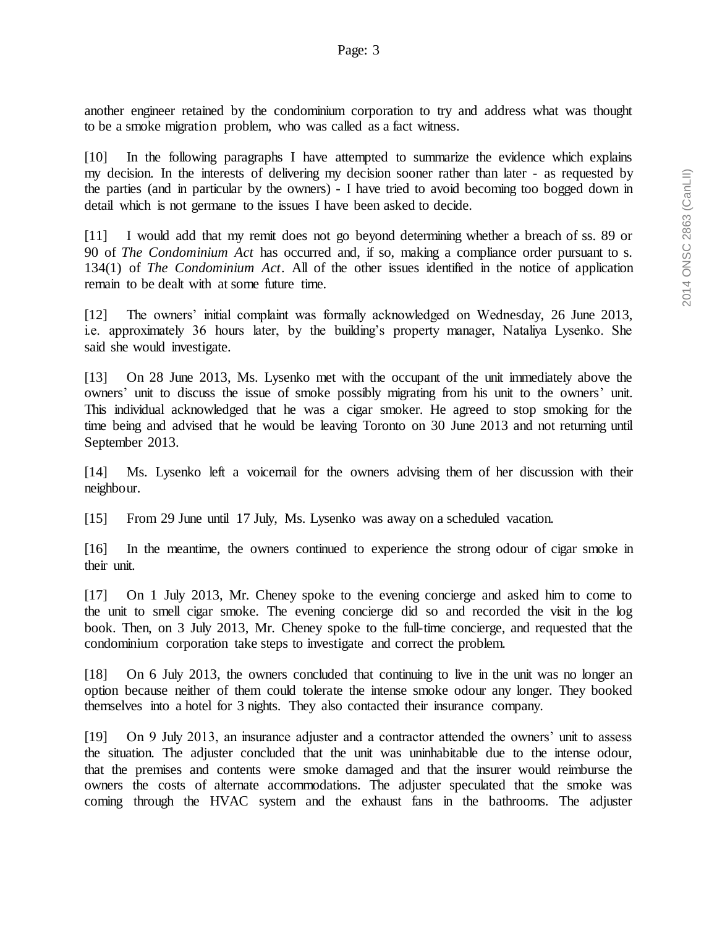another engineer retained by the condominium corporation to try and address what was thought to be a smoke migration problem, who was called as a fact witness.

[10] In the following paragraphs I have attempted to summarize the evidence which explains my decision. In the interests of delivering my decision sooner rather than later - as requested by the parties (and in particular by the owners) - I have tried to avoid becoming too bogged down in detail which is not germane to the issues I have been asked to decide.

[11] I would add that my remit does not go beyond determining whether a breach of ss. 89 or 90 of *The Condominium Act* has occurred and, if so, making a compliance order pursuant to s. 134(1) of *The Condominium Act*. All of the other issues identified in the notice of application remain to be dealt with at some future time.

[12] The owners' initial complaint was formally acknowledged on Wednesday, 26 June 2013, i.e. approximately 36 hours later, by the building's property manager, Nataliya Lysenko. She said she would investigate.

[13] On 28 June 2013, Ms. Lysenko met with the occupant of the unit immediately above the owners' unit to discuss the issue of smoke possibly migrating from his unit to the owners' unit. This individual acknowledged that he was a cigar smoker. He agreed to stop smoking for the time being and advised that he would be leaving Toronto on 30 June 2013 and not returning until September 2013.

[14] Ms. Lysenko left a voicemail for the owners advising them of her discussion with their neighbour.

[15] From 29 June until 17 July, Ms. Lysenko was away on a scheduled vacation.

[16] In the meantime, the owners continued to experience the strong odour of cigar smoke in their unit.

[17] On 1 July 2013, Mr. Cheney spoke to the evening concierge and asked him to come to the unit to smell cigar smoke. The evening concierge did so and recorded the visit in the log book. Then, on 3 July 2013, Mr. Cheney spoke to the full-time concierge, and requested that the condominium corporation take steps to investigate and correct the problem.

[18] On 6 July 2013, the owners concluded that continuing to live in the unit was no longer an option because neither of them could tolerate the intense smoke odour any longer. They booked themselves into a hotel for 3 nights. They also contacted their insurance company.

[19] On 9 July 2013, an insurance adjuster and a contractor attended the owners' unit to assess the situation. The adjuster concluded that the unit was uninhabitable due to the intense odour, that the premises and contents were smoke damaged and that the insurer would reimburse the owners the costs of alternate accommodations. The adjuster speculated that the smoke was coming through the HVAC system and the exhaust fans in the bathrooms. The adjuster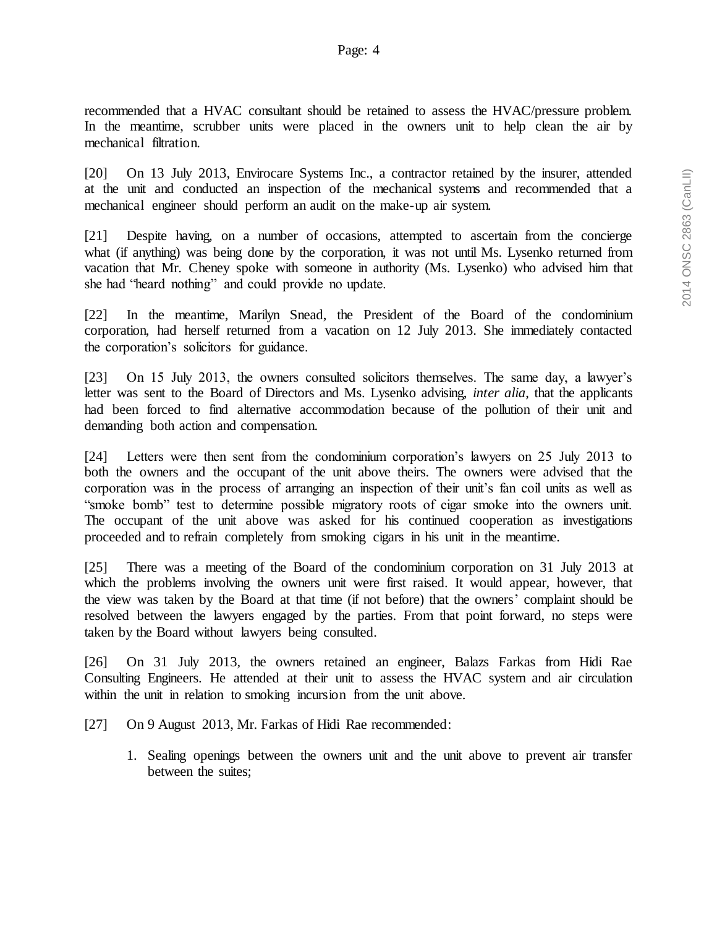recommended that a HVAC consultant should be retained to assess the HVAC/pressure problem. In the meantime, scrubber units were placed in the owners unit to help clean the air by mechanical filtration.

[20] On 13 July 2013, Envirocare Systems Inc., a contractor retained by the insurer, attended at the unit and conducted an inspection of the mechanical systems and recommended that a mechanical engineer should perform an audit on the make-up air system.

[21] Despite having, on a number of occasions, attempted to ascertain from the concierge what (if anything) was being done by the corporation, it was not until Ms. Lysenko returned from vacation that Mr. Cheney spoke with someone in authority (Ms. Lysenko) who advised him that she had "heard nothing" and could provide no update.

[22] In the meantime, Marilyn Snead, the President of the Board of the condominium corporation, had herself returned from a vacation on 12 July 2013. She immediately contacted the corporation's solicitors for guidance.

[23] On 15 July 2013, the owners consulted solicitors themselves. The same day, a lawyer's letter was sent to the Board of Directors and Ms. Lysenko advising, *inter alia*, that the applicants had been forced to find alternative accommodation because of the pollution of their unit and demanding both action and compensation.

[24] Letters were then sent from the condominium corporation's lawyers on 25 July 2013 to both the owners and the occupant of the unit above theirs. The owners were advised that the corporation was in the process of arranging an inspection of their unit's fan coil units as well as "smoke bomb" test to determine possible migratory roots of cigar smoke into the owners unit. The occupant of the unit above was asked for his continued cooperation as investigations proceeded and to refrain completely from smoking cigars in his unit in the meantime.

[25] There was a meeting of the Board of the condominium corporation on 31 July 2013 at which the problems involving the owners unit were first raised. It would appear, however, that the view was taken by the Board at that time (if not before) that the owners' complaint should be resolved between the lawyers engaged by the parties. From that point forward, no steps were taken by the Board without lawyers being consulted.

[26] On 31 July 2013, the owners retained an engineer, Balazs Farkas from Hidi Rae Consulting Engineers. He attended at their unit to assess the HVAC system and air circulation within the unit in relation to smoking incursion from the unit above.

- [27] On 9 August 2013, Mr. Farkas of Hidi Rae recommended:
	- 1. Sealing openings between the owners unit and the unit above to prevent air transfer between the suites;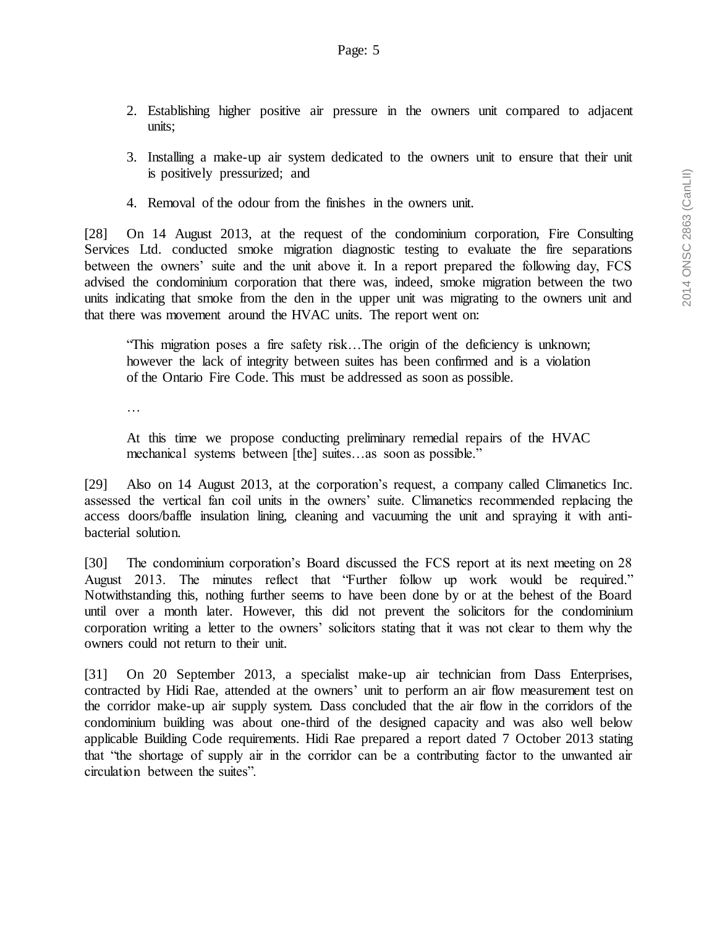- 2. Establishing higher positive air pressure in the owners unit compared to adjacent units;
- 3. Installing a make-up air system dedicated to the owners unit to ensure that their unit is positively pressurized; and
- 4. Removal of the odour from the finishes in the owners unit.

[28] On 14 August 2013, at the request of the condominium corporation, Fire Consulting Services Ltd. conducted smoke migration diagnostic testing to evaluate the fire separations between the owners' suite and the unit above it. In a report prepared the following day, FCS advised the condominium corporation that there was, indeed, smoke migration between the two units indicating that smoke from the den in the upper unit was migrating to the owners unit and that there was movement around the HVAC units. The report went on:

"This migration poses a fire safety risk…The origin of the deficiency is unknown; however the lack of integrity between suites has been confirmed and is a violation of the Ontario Fire Code. This must be addressed as soon as possible.

…

At this time we propose conducting preliminary remedial repairs of the HVAC mechanical systems between [the] suites…as soon as possible."

[29] Also on 14 August 2013, at the corporation's request, a company called Climanetics Inc. assessed the vertical fan coil units in the owners' suite. Climanetics recommended replacing the access doors/baffle insulation lining, cleaning and vacuuming the unit and spraying it with antibacterial solution.

[30] The condominium corporation's Board discussed the FCS report at its next meeting on 28 August 2013. The minutes reflect that "Further follow up work would be required." Notwithstanding this, nothing further seems to have been done by or at the behest of the Board until over a month later. However, this did not prevent the solicitors for the condominium corporation writing a letter to the owners' solicitors stating that it was not clear to them why the owners could not return to their unit.

[31] On 20 September 2013, a specialist make-up air technician from Dass Enterprises, contracted by Hidi Rae, attended at the owners' unit to perform an air flow measurement test on the corridor make-up air supply system. Dass concluded that the air flow in the corridors of the condominium building was about one-third of the designed capacity and was also well below applicable Building Code requirements. Hidi Rae prepared a report dated 7 October 2013 stating that "the shortage of supply air in the corridor can be a contributing factor to the unwanted air circulation between the suites".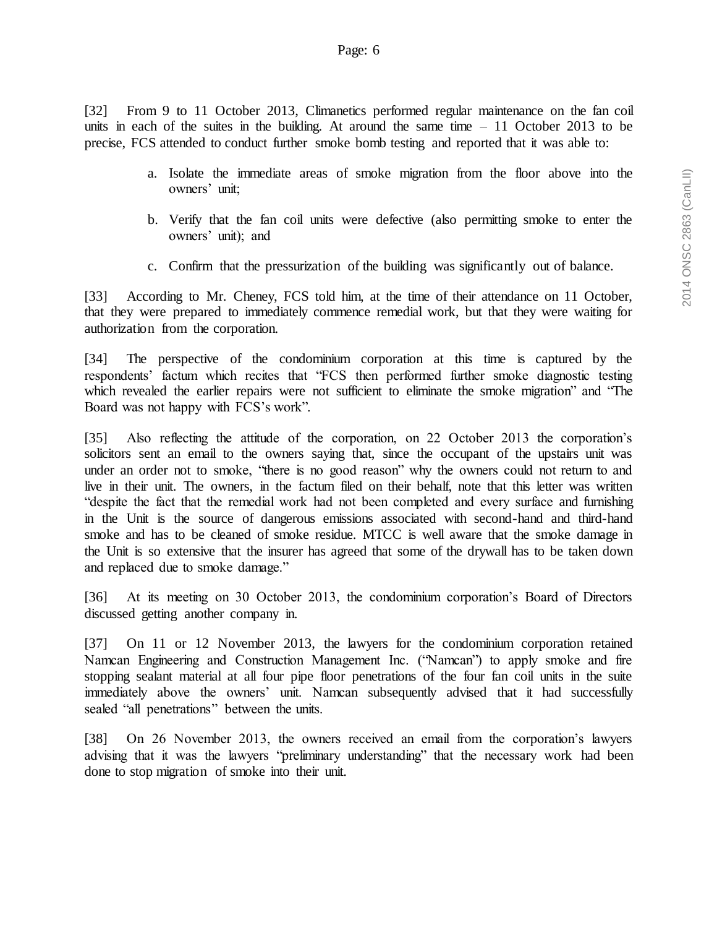[32] From 9 to 11 October 2013, Climanetics performed regular maintenance on the fan coil units in each of the suites in the building. At around the same time  $-11$  October 2013 to be precise, FCS attended to conduct further smoke bomb testing and reported that it was able to:

- a. Isolate the immediate areas of smoke migration from the floor above into the owners' unit;
- b. Verify that the fan coil units were defective (also permitting smoke to enter the owners' unit); and
- c. Confirm that the pressurization of the building was significantly out of balance.

[33] According to Mr. Cheney, FCS told him, at the time of their attendance on 11 October, that they were prepared to immediately commence remedial work, but that they were waiting for authorization from the corporation.

[34] The perspective of the condominium corporation at this time is captured by the respondents' factum which recites that "FCS then performed further smoke diagnostic testing which revealed the earlier repairs were not sufficient to eliminate the smoke migration" and "The Board was not happy with FCS's work".

[35] Also reflecting the attitude of the corporation, on 22 October 2013 the corporation's solicitors sent an email to the owners saying that, since the occupant of the upstairs unit was under an order not to smoke, "there is no good reason" why the owners could not return to and live in their unit. The owners, in the factum filed on their behalf, note that this letter was written "despite the fact that the remedial work had not been completed and every surface and furnishing in the Unit is the source of dangerous emissions associated with second-hand and third-hand smoke and has to be cleaned of smoke residue. MTCC is well aware that the smoke damage in the Unit is so extensive that the insurer has agreed that some of the drywall has to be taken down and replaced due to smoke damage."

[36] At its meeting on 30 October 2013, the condominium corporation's Board of Directors discussed getting another company in.

[37] On 11 or 12 November 2013, the lawyers for the condominium corporation retained Namcan Engineering and Construction Management Inc. ("Namcan") to apply smoke and fire stopping sealant material at all four pipe floor penetrations of the four fan coil units in the suite immediately above the owners' unit. Namcan subsequently advised that it had successfully sealed "all penetrations" between the units.

[38] On 26 November 2013, the owners received an email from the corporation's lawyers advising that it was the lawyers "preliminary understanding" that the necessary work had been done to stop migration of smoke into their unit.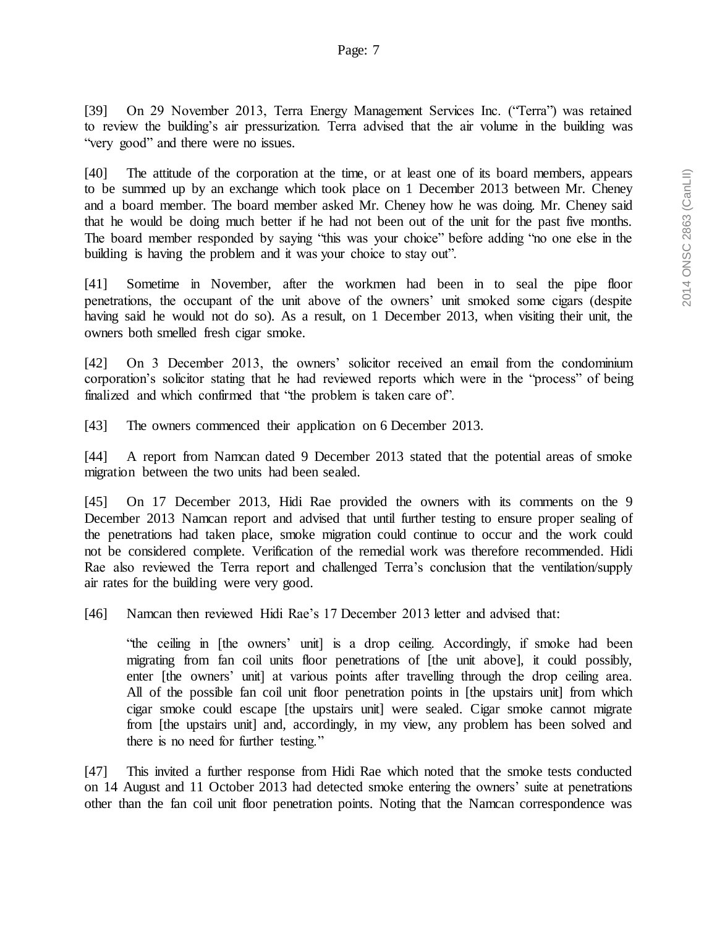[39] On 29 November 2013, Terra Energy Management Services Inc. ("Terra") was retained to review the building's air pressurization. Terra advised that the air volume in the building was "very good" and there were no issues.

[40] The attitude of the corporation at the time, or at least one of its board members, appears to be summed up by an exchange which took place on 1 December 2013 between Mr. Cheney and a board member. The board member asked Mr. Cheney how he was doing. Mr. Cheney said that he would be doing much better if he had not been out of the unit for the past five months. The board member responded by saying "this was your choice" before adding "no one else in the building is having the problem and it was your choice to stay out".

[41] Sometime in November, after the workmen had been in to seal the pipe floor penetrations, the occupant of the unit above of the owners' unit smoked some cigars (despite having said he would not do so). As a result, on 1 December 2013, when visiting their unit, the owners both smelled fresh cigar smoke.

[42] On 3 December 2013, the owners' solicitor received an email from the condominium corporation's solicitor stating that he had reviewed reports which were in the "process" of being finalized and which confirmed that "the problem is taken care of".

[43] The owners commenced their application on 6 December 2013.

[44] A report from Namcan dated 9 December 2013 stated that the potential areas of smoke migration between the two units had been sealed.

[45] On 17 December 2013, Hidi Rae provided the owners with its comments on the 9 December 2013 Namcan report and advised that until further testing to ensure proper sealing of the penetrations had taken place, smoke migration could continue to occur and the work could not be considered complete. Verification of the remedial work was therefore recommended. Hidi Rae also reviewed the Terra report and challenged Terra's conclusion that the ventilation/supply air rates for the building were very good.

[46] Namcan then reviewed Hidi Rae's 17 December 2013 letter and advised that:

"the ceiling in [the owners' unit] is a drop ceiling. Accordingly, if smoke had been migrating from fan coil units floor penetrations of [the unit above], it could possibly, enter [the owners' unit] at various points after travelling through the drop ceiling area. All of the possible fan coil unit floor penetration points in [the upstairs unit] from which cigar smoke could escape [the upstairs unit] were sealed. Cigar smoke cannot migrate from [the upstairs unit] and, accordingly, in my view, any problem has been solved and there is no need for further testing."

[47] This invited a further response from Hidi Rae which noted that the smoke tests conducted on 14 August and 11 October 2013 had detected smoke entering the owners' suite at penetrations other than the fan coil unit floor penetration points. Noting that the Namcan correspondence was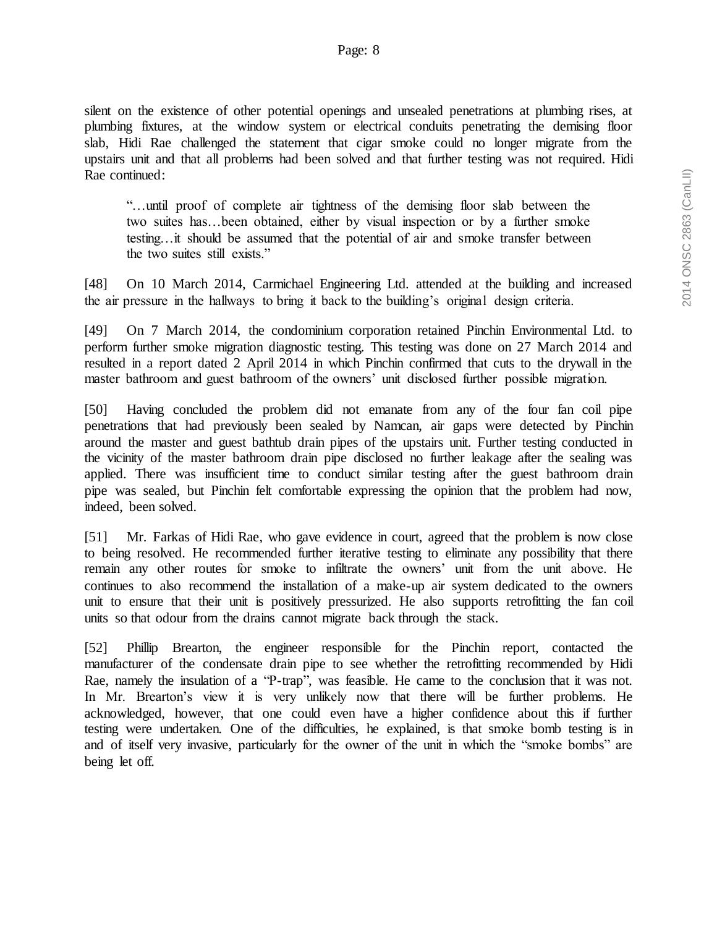silent on the existence of other potential openings and unsealed penetrations at plumbing rises, at plumbing fixtures, at the window system or electrical conduits penetrating the demising floor slab, Hidi Rae challenged the statement that cigar smoke could no longer migrate from the upstairs unit and that all problems had been solved and that further testing was not required. Hidi Rae continued:

"…until proof of complete air tightness of the demising floor slab between the two suites has…been obtained, either by visual inspection or by a further smoke testing…it should be assumed that the potential of air and smoke transfer between the two suites still exists."

[48] On 10 March 2014, Carmichael Engineering Ltd. attended at the building and increased the air pressure in the hallways to bring it back to the building's original design criteria.

[49] On 7 March 2014, the condominium corporation retained Pinchin Environmental Ltd. to perform further smoke migration diagnostic testing. This testing was done on 27 March 2014 and resulted in a report dated 2 April 2014 in which Pinchin confirmed that cuts to the drywall in the master bathroom and guest bathroom of the owners' unit disclosed further possible migration.

[50] Having concluded the problem did not emanate from any of the four fan coil pipe penetrations that had previously been sealed by Namcan, air gaps were detected by Pinchin around the master and guest bathtub drain pipes of the upstairs unit. Further testing conducted in the vicinity of the master bathroom drain pipe disclosed no further leakage after the sealing was applied. There was insufficient time to conduct similar testing after the guest bathroom drain pipe was sealed, but Pinchin felt comfortable expressing the opinion that the problem had now, indeed, been solved.

[51] Mr. Farkas of Hidi Rae, who gave evidence in court, agreed that the problem is now close to being resolved. He recommended further iterative testing to eliminate any possibility that there remain any other routes for smoke to infiltrate the owners' unit from the unit above. He continues to also recommend the installation of a make-up air system dedicated to the owners unit to ensure that their unit is positively pressurized. He also supports retrofitting the fan coil units so that odour from the drains cannot migrate back through the stack.

[52] Phillip Brearton, the engineer responsible for the Pinchin report, contacted the manufacturer of the condensate drain pipe to see whether the retrofitting recommended by Hidi Rae, namely the insulation of a "P-trap", was feasible. He came to the conclusion that it was not. In Mr. Brearton's view it is very unlikely now that there will be further problems. He acknowledged, however, that one could even have a higher confidence about this if further testing were undertaken. One of the difficulties, he explained, is that smoke bomb testing is in and of itself very invasive, particularly for the owner of the unit in which the "smoke bombs" are being let off.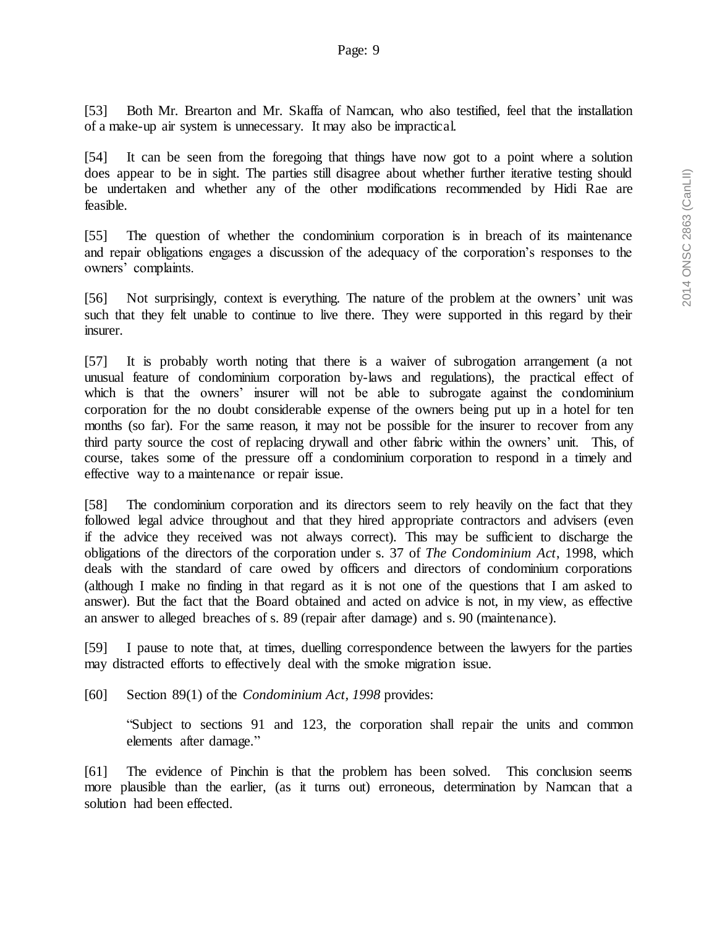[53] Both Mr. Brearton and Mr. Skaffa of Namcan, who also testified, feel that the installation of a make-up air system is unnecessary. It may also be impractical.

[54] It can be seen from the foregoing that things have now got to a point where a solution does appear to be in sight. The parties still disagree about whether further iterative testing should be undertaken and whether any of the other modifications recommended by Hidi Rae are feasible.

[55] The question of whether the condominium corporation is in breach of its maintenance and repair obligations engages a discussion of the adequacy of the corporation's responses to the owners' complaints.

[56] Not surprisingly, context is everything. The nature of the problem at the owners' unit was such that they felt unable to continue to live there. They were supported in this regard by their insurer.

[57] It is probably worth noting that there is a waiver of subrogation arrangement (a not unusual feature of condominium corporation by-laws and regulations), the practical effect of which is that the owners' insurer will not be able to subrogate against the condominium corporation for the no doubt considerable expense of the owners being put up in a hotel for ten months (so far). For the same reason, it may not be possible for the insurer to recover from any third party source the cost of replacing drywall and other fabric within the owners' unit. This, of course, takes some of the pressure off a condominium corporation to respond in a timely and effective way to a maintenance or repair issue.

[58] The condominium corporation and its directors seem to rely heavily on the fact that they followed legal advice throughout and that they hired appropriate contractors and advisers (even if the advice they received was not always correct). This may be sufficient to discharge the obligations of the directors of the corporation under s. 37 of *The Condominium Act*, 1998, which deals with the standard of care owed by officers and directors of condominium corporations (although I make no finding in that regard as it is not one of the questions that I am asked to answer). But the fact that the Board obtained and acted on advice is not, in my view, as effective an answer to alleged breaches of s. 89 (repair after damage) and s. 90 (maintenance).

[59] I pause to note that, at times, duelling correspondence between the lawyers for the parties may distracted efforts to effectively deal with the smoke migration issue.

[60] Section 89(1) of the *Condominium Act, 1998* provides:

"Subject to sections 91 and 123, the corporation shall repair the units and common elements after damage."

[61] The evidence of Pinchin is that the problem has been solved. This conclusion seems more plausible than the earlier, (as it turns out) erroneous, determination by Namcan that a solution had been effected.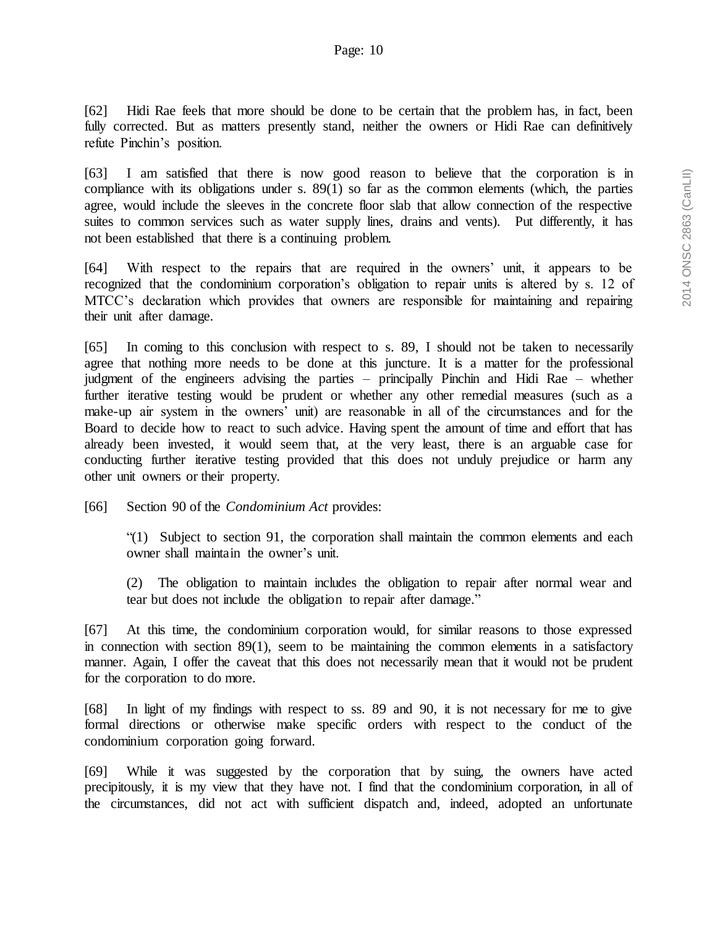[62] Hidi Rae feels that more should be done to be certain that the problem has, in fact, been fully corrected. But as matters presently stand, neither the owners or Hidi Rae can definitively refute Pinchin's position.

[63] I am satisfied that there is now good reason to believe that the corporation is in compliance with its obligations under s. 89(1) so far as the common elements (which, the parties agree, would include the sleeves in the concrete floor slab that allow connection of the respective suites to common services such as water supply lines, drains and vents). Put differently, it has not been established that there is a continuing problem.

[64] With respect to the repairs that are required in the owners' unit, it appears to be recognized that the condominium corporation's obligation to repair units is altered by s. 12 of MTCC's declaration which provides that owners are responsible for maintaining and repairing their unit after damage.

[65] In coming to this conclusion with respect to s. 89, I should not be taken to necessarily agree that nothing more needs to be done at this juncture. It is a matter for the professional judgment of the engineers advising the parties – principally Pinchin and Hidi Rae – whether further iterative testing would be prudent or whether any other remedial measures (such as a make-up air system in the owners' unit) are reasonable in all of the circumstances and for the Board to decide how to react to such advice. Having spent the amount of time and effort that has already been invested, it would seem that, at the very least, there is an arguable case for conducting further iterative testing provided that this does not unduly prejudice or harm any other unit owners or their property.

[66] Section 90 of the *Condominium Act* provides:

"(1) Subject to section 91, the corporation shall maintain the common elements and each owner shall maintain the owner's unit.

(2) The obligation to maintain includes the obligation to repair after normal wear and tear but does not include the obligation to repair after damage."

[67] At this time, the condominium corporation would, for similar reasons to those expressed in connection with section 89(1), seem to be maintaining the common elements in a satisfactory manner. Again, I offer the caveat that this does not necessarily mean that it would not be prudent for the corporation to do more.

[68] In light of my findings with respect to ss. 89 and 90, it is not necessary for me to give formal directions or otherwise make specific orders with respect to the conduct of the condominium corporation going forward.

[69] While it was suggested by the corporation that by suing, the owners have acted precipitously, it is my view that they have not. I find that the condominium corporation, in all of the circumstances, did not act with sufficient dispatch and, indeed, adopted an unfortunate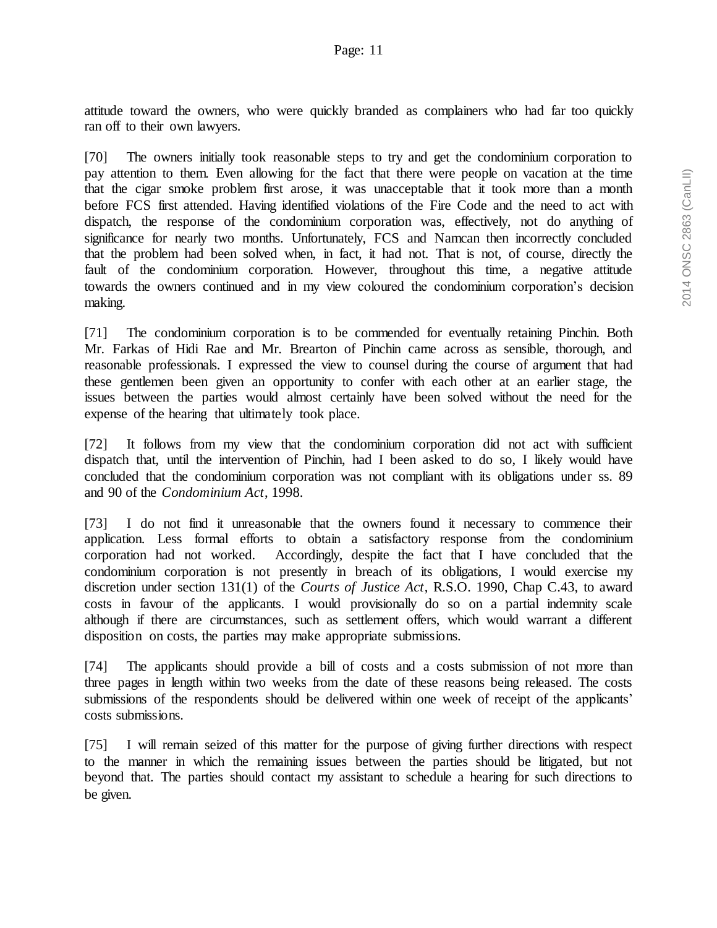attitude toward the owners, who were quickly branded as complainers who had far too quickly ran off to their own lawyers.

[70] The owners initially took reasonable steps to try and get the condominium corporation to pay attention to them. Even allowing for the fact that there were people on vacation at the time that the cigar smoke problem first arose, it was unacceptable that it took more than a month before FCS first attended. Having identified violations of the Fire Code and the need to act with dispatch, the response of the condominium corporation was, effectively, not do anything of significance for nearly two months. Unfortunately, FCS and Namcan then incorrectly concluded that the problem had been solved when, in fact, it had not. That is not, of course, directly the fault of the condominium corporation. However, throughout this time, a negative attitude towards the owners continued and in my view coloured the condominium corporation's decision making.

[71] The condominium corporation is to be commended for eventually retaining Pinchin. Both Mr. Farkas of Hidi Rae and Mr. Brearton of Pinchin came across as sensible, thorough, and reasonable professionals. I expressed the view to counsel during the course of argument that had these gentlemen been given an opportunity to confer with each other at an earlier stage, the issues between the parties would almost certainly have been solved without the need for the expense of the hearing that ultimately took place.

[72] It follows from my view that the condominium corporation did not act with sufficient dispatch that, until the intervention of Pinchin, had I been asked to do so, I likely would have concluded that the condominium corporation was not compliant with its obligations under ss. 89 and 90 of the *Condominium Act*, 1998.

[73] I do not find it unreasonable that the owners found it necessary to commence their application. Less formal efforts to obtain a satisfactory response from the condominium corporation had not worked. Accordingly, despite the fact that I have concluded that the condominium corporation is not presently in breach of its obligations, I would exercise my discretion under section 131(1) of the *Courts of Justice Act*, R.S.O. 1990, Chap C.43, to award costs in favour of the applicants. I would provisionally do so on a partial indemnity scale although if there are circumstances, such as settlement offers, which would warrant a different disposition on costs, the parties may make appropriate submissions.

[74] The applicants should provide a bill of costs and a costs submission of not more than three pages in length within two weeks from the date of these reasons being released. The costs submissions of the respondents should be delivered within one week of receipt of the applicants' costs submissions.

[75] I will remain seized of this matter for the purpose of giving further directions with respect to the manner in which the remaining issues between the parties should be litigated, but not beyond that. The parties should contact my assistant to schedule a hearing for such directions to be given.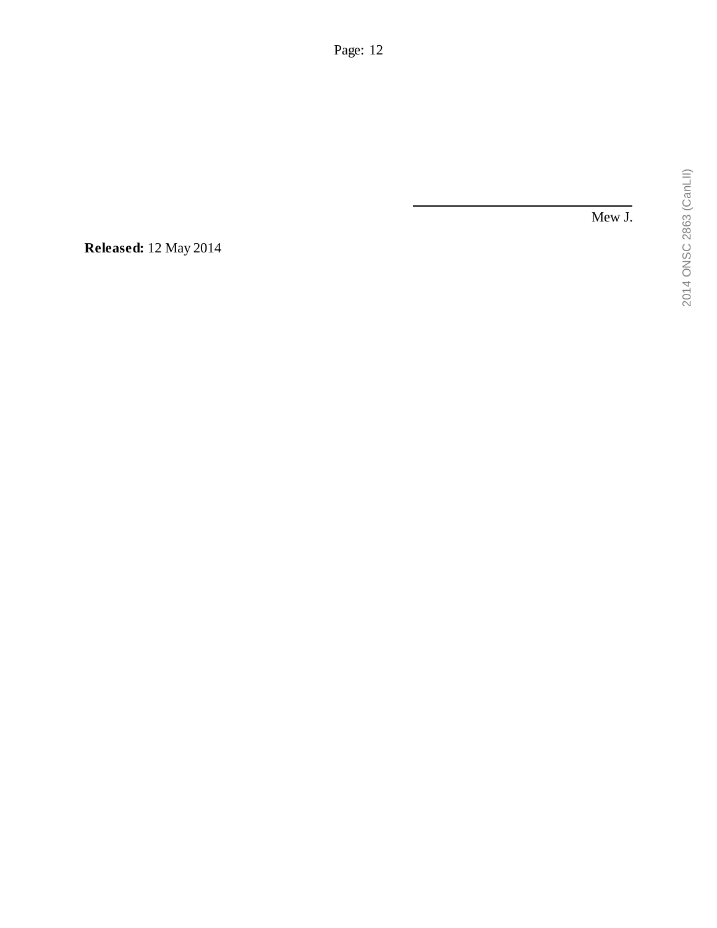Mew J.

**Released:** 12 May 2014